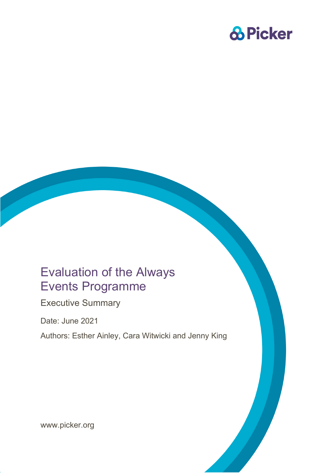## **& Picker**

## Evaluation of the Always Events Programme

Executive Summary

Date: June 2021

Authors: Esther Ainley, Cara Witwicki and Jenny King

www.picker.org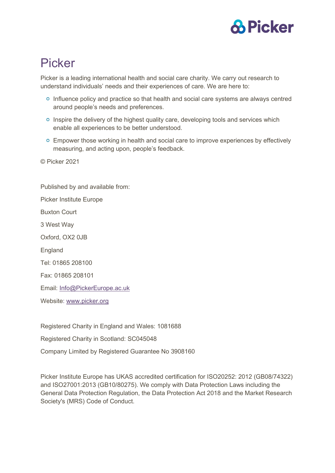

## Picker

Picker is a leading international health and social care charity. We carry out research to understand individuals' needs and their experiences of care. We are here to:

- o Influence policy and practice so that health and social care systems are always centred around people's needs and preferences.
- o Inspire the delivery of the highest quality care, developing tools and services which enable all experiences to be better understood.
- Empower those working in health and social care to improve experiences by effectively measuring, and acting upon, people's feedback.

© Picker 2021

Published by and available from: Picker Institute Europe Buxton Court 3 West Way Oxford, OX2 0JB England Tel: 01865 208100 Fax: 01865 208101 Email: [Info@PickerEurope.ac.uk](mailto:Info@PickerEurope.ac.uk) Website: [www.picker.org](http://www.picker.org/)

Registered Charity in England and Wales: 1081688

Registered Charity in Scotland: SC045048

Company Limited by Registered Guarantee No 3908160

Picker Institute Europe has UKAS accredited certification for ISO20252: 2012 (GB08/74322) and ISO27001:2013 (GB10/80275). We comply with Data Protection Laws including the General Data Protection Regulation, the Data Protection Act 2018 and the Market Research Society's (MRS) Code of Conduct.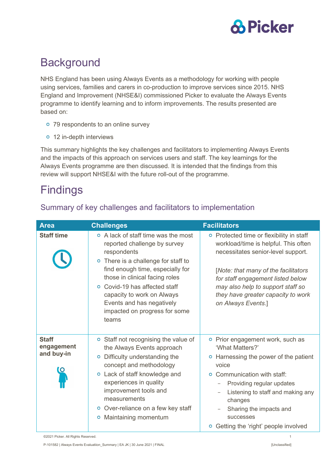

### **Background**

NHS England has been using Always Events as a methodology for working with people using services, families and carers in co-production to improve services since 2015. NHS England and Improvement (NHSE&I) commissioned Picker to evaluate the Always Events programme to identify learning and to inform improvements. The results presented are based on:

- 79 respondents to an online survey
- 12 in-depth interviews

This summary highlights the key challenges and facilitators to implementing Always Events and the impacts of this approach on services users and staff. The key learnings for the Always Events programme are then discussed. It is intended that the findings from this review will support NHSE&I with the future roll-out of the programme.

### Findings

#### Summary of key challenges and facilitators to implementation

| <b>Area</b>                              | <b>Challenges</b>                                                                                                                                                                                                                                                                                                                     | <b>Facilitators</b>                                                                                                                                                                                                                                                                                          |
|------------------------------------------|---------------------------------------------------------------------------------------------------------------------------------------------------------------------------------------------------------------------------------------------------------------------------------------------------------------------------------------|--------------------------------------------------------------------------------------------------------------------------------------------------------------------------------------------------------------------------------------------------------------------------------------------------------------|
| <b>Staff time</b>                        | o A lack of staff time was the most<br>reported challenge by survey<br>respondents<br>• There is a challenge for staff to<br>find enough time, especially for<br>those in clinical facing roles<br>o Covid-19 has affected staff<br>capacity to work on Always<br>Events and has negatively<br>impacted on progress for some<br>teams | o Protected time or flexibility in staff<br>workload/time is helpful. This often<br>necessitates senior-level support.<br>[Note: that many of the facilitators<br>for staff engagement listed below<br>may also help to support staff so<br>they have greater capacity to work<br>on Always Events.]         |
| <b>Staff</b><br>engagement<br>and buy-in | o Staff not recognising the value of<br>the Always Events approach<br>Difficulty understanding the<br>$\circ$<br>concept and methodology<br>o Lack of staff knowledge and<br>experiences in quality<br>improvement tools and<br>measurements<br>o Over-reliance on a few key staff<br>Maintaining momentum<br>O                       | Prior engagement work, such as<br>'What Matters?'<br>Harnessing the power of the patient<br>voice<br>Communication with staff:<br>$\circ$<br>Providing regular updates<br>Listening to staff and making any<br>changes<br>Sharing the impacts and<br><b>SUCCESSES</b><br>Getting the 'right' people involved |

©2021 Picker. All Rights Reserved. 1

P-101582 | Always Events Evaluatiion\_Summary | EA JK | 30 June 2021 | FINAL [Unclassified]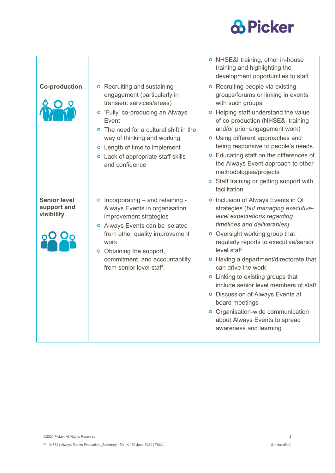

|                                                  |                                                                                                                                                                                                                                                                                                        | o NHSE&I training, other in-house<br>training and highlighting the<br>development opportunities to staff                                                                                                                                                                                                                                                                                                                                                                                                                                |
|--------------------------------------------------|--------------------------------------------------------------------------------------------------------------------------------------------------------------------------------------------------------------------------------------------------------------------------------------------------------|-----------------------------------------------------------------------------------------------------------------------------------------------------------------------------------------------------------------------------------------------------------------------------------------------------------------------------------------------------------------------------------------------------------------------------------------------------------------------------------------------------------------------------------------|
| <b>Co-production</b>                             | o Recruiting and sustaining<br>engagement (particularly in<br>transient services/areas)<br>o 'Fully' co-producing an Always<br>Event<br>• The need for a cultural shift in the<br>way of thinking and working<br>o Length of time to implement<br>o Lack of appropriate staff skills<br>and confidence | o Recruiting people via existing<br>groups/forums or linking in events<br>with such groups<br>• Helping staff understand the value<br>of co-production (NHSE&I training<br>and/or prior engagement work)<br>o Using different approaches and<br>being responsive to people's needs.<br>o Educating staff on the differences of<br>the Always Event approach to other<br>methodologies/projects<br>• Staff training or getting support with<br>facilitation                                                                              |
| <b>Senior level</b><br>support and<br>visibility | • Incorporating – and retaining -<br>Always Events in organisation<br>improvement strategies<br>o Always Events can be isolated<br>from other quality improvement<br>work<br>o Obtaining the support,<br>commitment, and accountability<br>from senior level staff.                                    | o Inclusion of Always Events in QI<br>strategies (but managing executive-<br>level expectations regarding<br>timelines and deliverables).<br>o Oversight working group that<br>regularly reports to executive/senior<br>level staff<br>o Having a department/directorate that<br>can drive the work<br>o Linking to existing groups that<br>include senior level members of staff<br>o Discussion of Always Events at<br>board meetings<br>o Organisation-wide communication<br>about Always Events to spread<br>awareness and learning |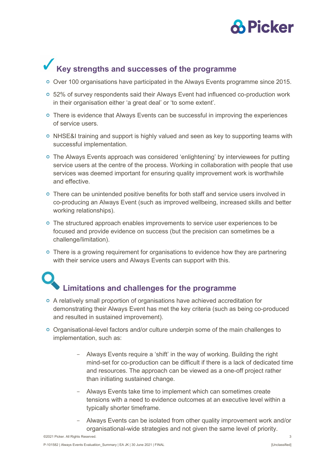## **A** Picker

## **Key strengths and successes of the programme**

- Over 100 organisations have participated in the Always Events programme since 2015.
- 52% of survey respondents said their Always Event had influenced co-production work in their organisation either 'a great deal' or 'to some extent'.
- There is evidence that Always Events can be successful in improving the experiences of service users.
- o NHSE&I training and support is highly valued and seen as key to supporting teams with successful implementation.
- The Always Events approach was considered 'enlightening' by interviewees for putting service users at the centre of the process. Working in collaboration with people that use services was deemed important for ensuring quality improvement work is worthwhile and effective.
- There can be unintended positive benefits for both staff and service users involved in co-producing an Always Event (such as improved wellbeing, increased skills and better working relationships).
- The structured approach enables improvements to service user experiences to be focused and provide evidence on success (but the precision can sometimes be a challenge/limitation).
- There is a growing requirement for organisations to evidence how they are partnering with their service users and Always Events can support with this.

# **Limitations and challenges for the programme**

- A relatively small proportion of organisations have achieved accreditation for demonstrating their Always Event has met the key criteria (such as being co-produced and resulted in sustained improvement).
- Organisational-level factors and/or culture underpin some of the main challenges to implementation, such as:
	- Always Events require a 'shift' in the way of working. Building the right mind-set for co-production can be difficult if there is a lack of dedicated time and resources. The approach can be viewed as a one-off project rather than initiating sustained change.
	- Always Events take time to implement which can sometimes create tensions with a need to evidence outcomes at an executive level within a typically shorter timeframe.
	- Always Events can be isolated from other quality improvement work and/or organisational-wide strategies and not given the same level of priority.

©2021 Picker. All Rights Reserved. 3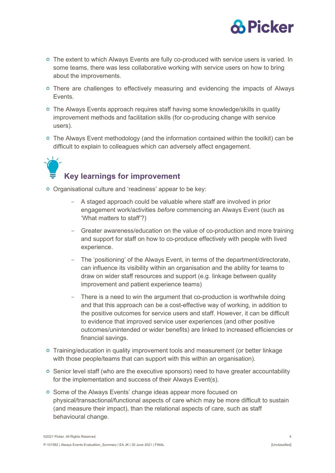

- The extent to which Always Events are fully co-produced with service users is varied. In some teams, there was less collaborative working with service users on how to bring about the improvements.
- o There are challenges to effectively measuring and evidencing the impacts of Always Events.
- The Always Events approach requires staff having some knowledge/skills in quality improvement methods and facilitation skills (for co-producing change with service users).
- The Always Event methodology (and the information contained within the toolkit) can be difficult to explain to colleagues which can adversely affect engagement.

### **Key learnings for improvement**

- Organisational culture and 'readiness' appear to be key:
	- A staged approach could be valuable where staff are involved in prior engagement work/activities *before* commencing an Always Event (such as 'What matters to staff'?)
	- Greater awareness/education on the value of co-production and more training and support for staff on how to co-produce effectively with people with lived experience.
	- The 'positioning' of the Always Event, in terms of the department/directorate, can influence its visibility within an organisation and the ability for teams to draw on wider staff resources and support (e.g. linkage between quality improvement and patient experience teams)
	- There is a need to win the argument that co-production is worthwhile doing and that this approach can be a cost-effective way of working, in addition to the positive outcomes for service users and staff. However, it can be difficult to evidence that improved service user experiences (and other positive outcomes/unintended or wider benefits) are linked to increased efficiencies or financial savings.
- Training/education in quality improvement tools and measurement (or better linkage with those people/teams that can support with this within an organisation).
- o Senior level staff (who are the executive sponsors) need to have greater accountability for the implementation and success of their Always Event(s).
- o Some of the Always Events' change ideas appear more focused on physical/transactional/functional aspects of care which may be more difficult to sustain (and measure their impact), than the relational aspects of care, such as staff behavioural change.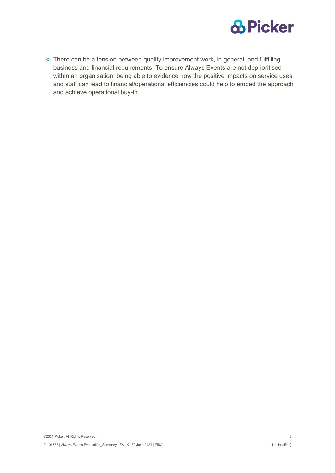

There can be a tension between quality improvement work, in general, and fulfilling business and financial requirements. To ensure Always Events are not deprioritised within an organisation, being able to evidence how the positive impacts on service uses and staff can lead to financial/operational efficiencies could help to embed the approach and achieve operational buy-in.